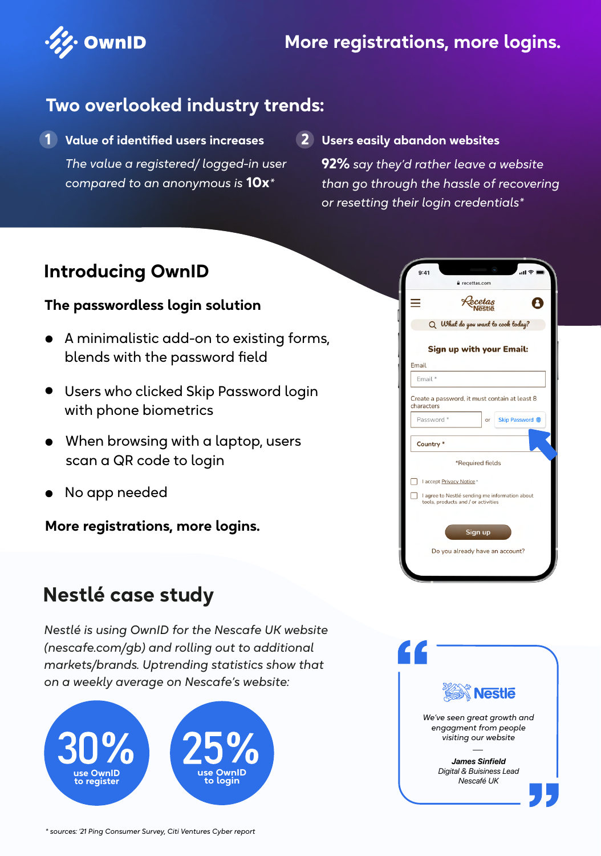

## **More registrations, more logins.**

## **Two overlooked industry trends:**

- **2 Value of identied users increases Users easily abandon websites** *The value a registered/ logged-in user compared to an anonymous is* **10x***\** **1** Value of identified users increases
	-

**92%** *say they'd rather leave a website than go through the hassle of recovering or resetting their login credentials\**

 $9:41$ 

Ξ

Email Email<sup>+</sup>

characters Password<sup>+</sup>

Country<sup>\*</sup>

I accept Privacy Notice

e recettas.com

Recetas<br>Nestie

Q What do you want to cook today?

Sign up with your Email:

Create a password, it must contain at least 8

\*Required fields

□ l agree to Nestlé sending me information about<br>tools, products and / or activities

Sign up Do you already have an account?

or

Skip Password

A

## **Introducing OwnID**

#### **The passwordless login solution**

- A minimalistic add-on to existing forms, blends with the password field
- Users who clicked Skip Password login with phone biometrics
- When browsing with a laptop, users scan a QR code to login
- No app needed

**More registrations, more logins.** 

## **Nestlé case study**

*Nestlé is using OwnID for the Nescafe UK website [\(nescafe.com/gb\)](https://www.nescafe.com/gb/login/) and rolling out to additional markets/brands. Uptrending statistics show that on a weekly average on Nescafe's website:*